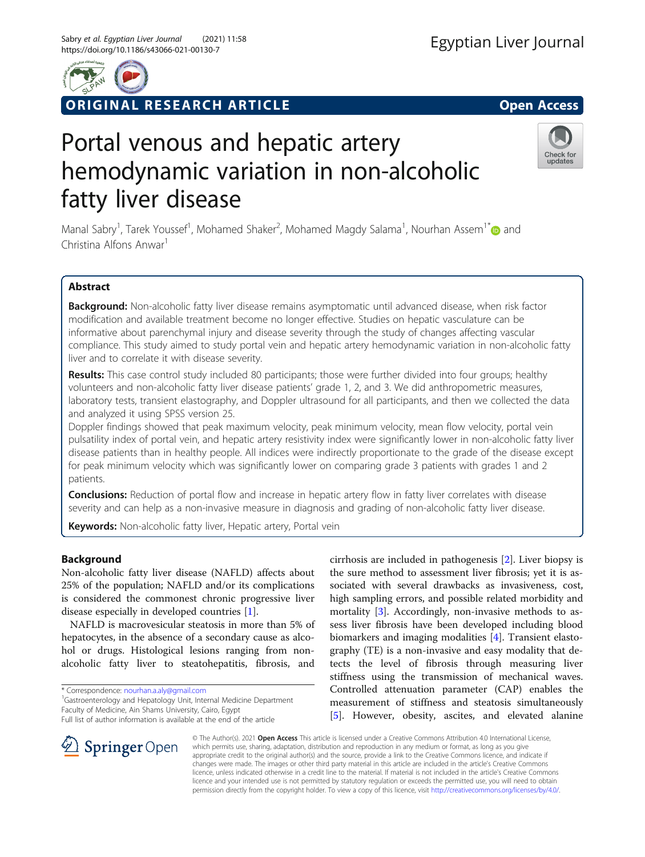

ORIGINAL RESEARCH ARTICLE **External of the Second Access** 

# Portal venous and hepatic artery hemodynamic variation in non-alcoholic fatty liver disease



Manal Sabry<sup>1</sup>, Tarek Youssef<sup>1</sup>, Mohamed Shaker<sup>2</sup>, Mohamed Magdy Salama<sup>1</sup>, Nourhan Assem<sup>1[\\*](http://orcid.org/0000-0001-5781-0715)</sup>@ and Christina Alfons Anwar<sup>1</sup>

# Abstract

Background: Non-alcoholic fatty liver disease remains asymptomatic until advanced disease, when risk factor modification and available treatment become no longer effective. Studies on hepatic vasculature can be informative about parenchymal injury and disease severity through the study of changes affecting vascular compliance. This study aimed to study portal vein and hepatic artery hemodynamic variation in non-alcoholic fatty liver and to correlate it with disease severity.

Results: This case control study included 80 participants; those were further divided into four groups; healthy volunteers and non-alcoholic fatty liver disease patients' grade 1, 2, and 3. We did anthropometric measures, laboratory tests, transient elastography, and Doppler ultrasound for all participants, and then we collected the data and analyzed it using SPSS version 25.

Doppler findings showed that peak maximum velocity, peak minimum velocity, mean flow velocity, portal vein pulsatility index of portal vein, and hepatic artery resistivity index were significantly lower in non-alcoholic fatty liver disease patients than in healthy people. All indices were indirectly proportionate to the grade of the disease except for peak minimum velocity which was significantly lower on comparing grade 3 patients with grades 1 and 2 patients.

**Conclusions:** Reduction of portal flow and increase in hepatic artery flow in fatty liver correlates with disease severity and can help as a non-invasive measure in diagnosis and grading of non-alcoholic fatty liver disease.

Keywords: Non-alcoholic fatty liver, Hepatic artery, Portal vein

## Background

Non-alcoholic fatty liver disease (NAFLD) affects about 25% of the population; NAFLD and/or its complications is considered the commonest chronic progressive liver disease especially in developed countries [[1](#page-4-0)].

NAFLD is macrovesicular steatosis in more than 5% of hepatocytes, in the absence of a secondary cause as alcohol or drugs. Histological lesions ranging from nonalcoholic fatty liver to steatohepatitis, fibrosis, and

\* Correspondence: [nourhan.a.aly@gmail.com](mailto:nourhan.a.aly@gmail.com) <sup>1</sup>

<sup>1</sup> Gastroenterology and Hepatology Unit, Internal Medicine Department Faculty of Medicine, Ain Shams University, Cairo, Egypt

Full list of author information is available at the end of the article

cirrhosis are included in pathogenesis [[2\]](#page-4-0). Liver biopsy is the sure method to assessment liver fibrosis; yet it is associated with several drawbacks as invasiveness, cost, high sampling errors, and possible related morbidity and mortality [\[3](#page-4-0)]. Accordingly, non-invasive methods to assess liver fibrosis have been developed including blood biomarkers and imaging modalities [[4\]](#page-4-0). Transient elastography (TE) is a non-invasive and easy modality that detects the level of fibrosis through measuring liver stiffness using the transmission of mechanical waves. Controlled attenuation parameter (CAP) enables the measurement of stiffness and steatosis simultaneously [[5\]](#page-4-0). However, obesity, ascites, and elevated alanine



© The Author(s). 2021 Open Access This article is licensed under a Creative Commons Attribution 4.0 International License, which permits use, sharing, adaptation, distribution and reproduction in any medium or format, as long as you give appropriate credit to the original author(s) and the source, provide a link to the Creative Commons licence, and indicate if changes were made. The images or other third party material in this article are included in the article's Creative Commons licence, unless indicated otherwise in a credit line to the material. If material is not included in the article's Creative Commons licence and your intended use is not permitted by statutory regulation or exceeds the permitted use, you will need to obtain permission directly from the copyright holder. To view a copy of this licence, visit <http://creativecommons.org/licenses/by/4.0/>.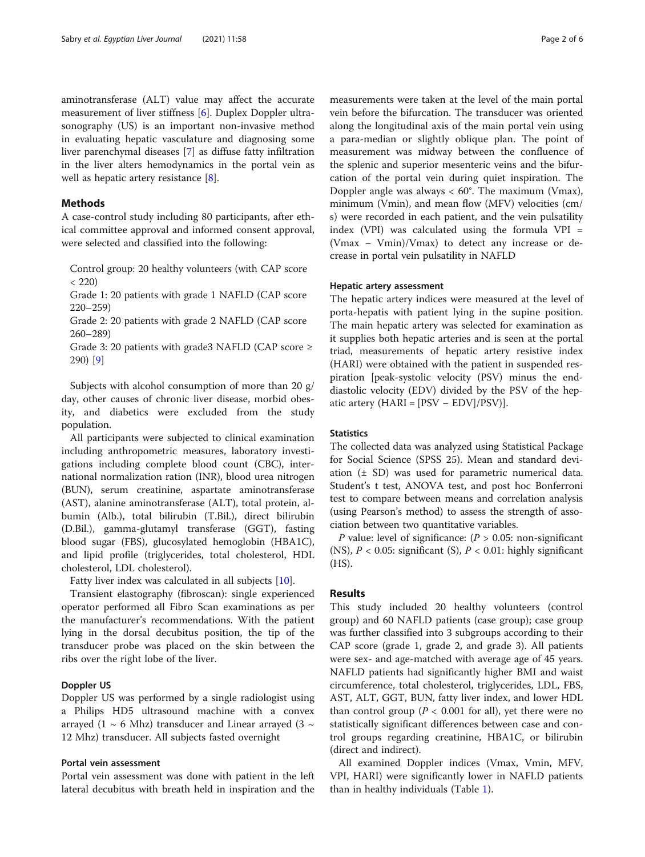aminotransferase (ALT) value may affect the accurate measurement of liver stiffness [[6\]](#page-5-0). Duplex Doppler ultrasonography (US) is an important non-invasive method in evaluating hepatic vasculature and diagnosing some liver parenchymal diseases [\[7](#page-5-0)] as diffuse fatty infiltration in the liver alters hemodynamics in the portal vein as well as hepatic artery resistance [\[8](#page-5-0)].

## **Methods**

A case-control study including 80 participants, after ethical committee approval and informed consent approval, were selected and classified into the following:

Control group: 20 healthy volunteers (with CAP score  $< 220$ 

Grade 1: 20 patients with grade 1 NAFLD (CAP score 220–259)

Grade 2: 20 patients with grade 2 NAFLD (CAP score 260–289)

Grade 3: 20 patients with grade3 NAFLD (CAP score  $\geq$ 290) [\[9](#page-5-0)]

Subjects with alcohol consumption of more than 20 g/ day, other causes of chronic liver disease, morbid obesity, and diabetics were excluded from the study population.

All participants were subjected to clinical examination including anthropometric measures, laboratory investigations including complete blood count (CBC), international normalization ration (INR), blood urea nitrogen (BUN), serum creatinine, aspartate aminotransferase (AST), alanine aminotransferase (ALT), total protein, albumin (Alb.), total bilirubin (T.Bil.), direct bilirubin (D.Bil.), gamma-glutamyl transferase (GGT), fasting blood sugar (FBS), glucosylated hemoglobin (HBA1C), and lipid profile (triglycerides, total cholesterol, HDL cholesterol, LDL cholesterol).

Fatty liver index was calculated in all subjects [\[10](#page-5-0)].

Transient elastography (fibroscan): single experienced operator performed all Fibro Scan examinations as per the manufacturer's recommendations. With the patient lying in the dorsal decubitus position, the tip of the transducer probe was placed on the skin between the ribs over the right lobe of the liver.

## Doppler US

Doppler US was performed by a single radiologist using a Philips HD5 ultrasound machine with a convex arrayed (1  $\sim$  6 Mhz) transducer and Linear arrayed (3  $\sim$ 12 Mhz) transducer. All subjects fasted overnight

## Portal vein assessment

Portal vein assessment was done with patient in the left lateral decubitus with breath held in inspiration and the measurements were taken at the level of the main portal vein before the bifurcation. The transducer was oriented along the longitudinal axis of the main portal vein using a para-median or slightly oblique plan. The point of measurement was midway between the confluence of the splenic and superior mesenteric veins and the bifurcation of the portal vein during quiet inspiration. The Doppler angle was always  $< 60^{\circ}$ . The maximum (Vmax), minimum (Vmin), and mean flow (MFV) velocities (cm/ s) were recorded in each patient, and the vein pulsatility index (VPI) was calculated using the formula VPI = (Vmax − Vmin)/Vmax) to detect any increase or decrease in portal vein pulsatility in NAFLD

### Hepatic artery assessment

The hepatic artery indices were measured at the level of porta-hepatis with patient lying in the supine position. The main hepatic artery was selected for examination as it supplies both hepatic arteries and is seen at the portal triad, measurements of hepatic artery resistive index (HARI) were obtained with the patient in suspended respiration [peak-systolic velocity (PSV) minus the enddiastolic velocity (EDV) divided by the PSV of the hepatic artery  $(HARI = [PSV - EDV]/PSV)$ ].

## **Statistics**

The collected data was analyzed using Statistical Package for Social Science (SPSS 25). Mean and standard deviation (± SD) was used for parametric numerical data. Student's t test, ANOVA test, and post hoc Bonferroni test to compare between means and correlation analysis (using Pearson's method) to assess the strength of association between two quantitative variables.

P value: level of significance:  $(P > 0.05$ : non-significant (NS),  $P < 0.05$ : significant (S),  $P < 0.01$ : highly significant (HS).

## Results

This study included 20 healthy volunteers (control group) and 60 NAFLD patients (case group); case group was further classified into 3 subgroups according to their CAP score (grade 1, grade 2, and grade 3). All patients were sex- and age-matched with average age of 45 years. NAFLD patients had significantly higher BMI and waist circumference, total cholesterol, triglycerides, LDL, FBS, AST, ALT, GGT, BUN, fatty liver index, and lower HDL than control group ( $P < 0.001$  for all), yet there were no statistically significant differences between case and control groups regarding creatinine, HBA1C, or bilirubin (direct and indirect).

All examined Doppler indices (Vmax, Vmin, MFV, VPI, HARI) were significantly lower in NAFLD patients than in healthy individuals (Table [1](#page-2-0)).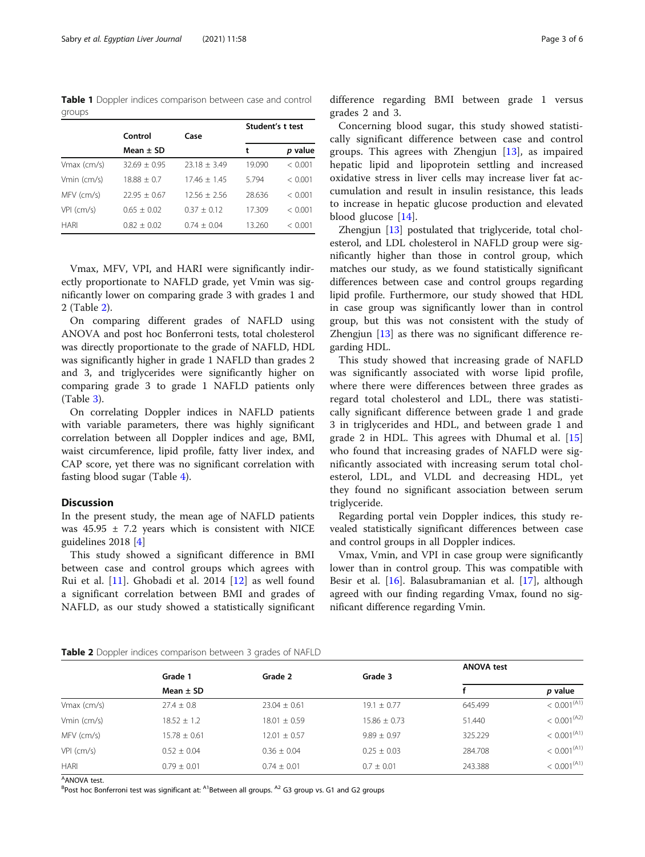<span id="page-2-0"></span>Table 1 Doppler indices comparison between case and control groups

|              |                |                | Student's t test |         |
|--------------|----------------|----------------|------------------|---------|
|              | Control        | Case           |                  |         |
|              | Mean $\pm$ SD  |                | t                | p value |
| Vmax (cm/s)  | $32.69 + 0.95$ | $23.18 + 3.49$ | 19.090           | < 0.001 |
| Vmin (cm/s)  | $18.88 + 0.7$  | $17.46 + 1.45$ | 5.794            | < 0.001 |
| MFV (cm/s)   | $22.95 + 0.67$ | $12.56 + 2.56$ | 28.636           | < 0.001 |
| $VPI$ (cm/s) | $0.65 + 0.02$  | $0.37 + 0.12$  | 17.309           | < 0.001 |
| HARI         | $0.82 + 0.02$  | $0.74 + 0.04$  | 13.260           | < 0.001 |

Vmax, MFV, VPI, and HARI were significantly indirectly proportionate to NAFLD grade, yet Vmin was significantly lower on comparing grade 3 with grades 1 and 2 (Table 2).

On comparing different grades of NAFLD using ANOVA and post hoc Bonferroni tests, total cholesterol was directly proportionate to the grade of NAFLD, HDL was significantly higher in grade 1 NAFLD than grades 2 and 3, and triglycerides were significantly higher on comparing grade 3 to grade 1 NAFLD patients only (Table [3\)](#page-3-0).

On correlating Doppler indices in NAFLD patients with variable parameters, there was highly significant correlation between all Doppler indices and age, BMI, waist circumference, lipid profile, fatty liver index, and CAP score, yet there was no significant correlation with fasting blood sugar (Table [4](#page-4-0)).

## **Discussion**

In the present study, the mean age of NAFLD patients was  $45.95 \pm 7.2$  years which is consistent with NICE guidelines 2018 [\[4](#page-4-0)]

This study showed a significant difference in BMI between case and control groups which agrees with Rui et al. [[11\]](#page-5-0). Ghobadi et al. 2014 [[12\]](#page-5-0) as well found a significant correlation between BMI and grades of NAFLD, as our study showed a statistically significant difference regarding BMI between grade 1 versus grades 2 and 3.

Concerning blood sugar, this study showed statistically significant difference between case and control groups. This agrees with Zhengjun [\[13](#page-5-0)], as impaired hepatic lipid and lipoprotein settling and increased oxidative stress in liver cells may increase liver fat accumulation and result in insulin resistance, this leads to increase in hepatic glucose production and elevated blood glucose [\[14](#page-5-0)].

Zhengjun [\[13](#page-5-0)] postulated that triglyceride, total cholesterol, and LDL cholesterol in NAFLD group were significantly higher than those in control group, which matches our study, as we found statistically significant differences between case and control groups regarding lipid profile. Furthermore, our study showed that HDL in case group was significantly lower than in control group, but this was not consistent with the study of Zhengjun [[13\]](#page-5-0) as there was no significant difference regarding HDL.

This study showed that increasing grade of NAFLD was significantly associated with worse lipid profile, where there were differences between three grades as regard total cholesterol and LDL, there was statistically significant difference between grade 1 and grade 3 in triglycerides and HDL, and between grade 1 and grade 2 in HDL. This agrees with Dhumal et al. [\[15](#page-5-0)] who found that increasing grades of NAFLD were significantly associated with increasing serum total cholesterol, LDL, and VLDL and decreasing HDL, yet they found no significant association between serum triglyceride.

Regarding portal vein Doppler indices, this study revealed statistically significant differences between case and control groups in all Doppler indices.

Vmax, Vmin, and VPI in case group were significantly lower than in control group. This was compatible with Besir et al. [\[16\]](#page-5-0). Balasubramanian et al. [[17\]](#page-5-0), although agreed with our finding regarding Vmax, found no significant difference regarding Vmin.

| Table 2 Doppler indices comparison between 3 grades of NAFLD |  |  |
|--------------------------------------------------------------|--|--|
|--------------------------------------------------------------|--|--|

|              |                  |                  |                  | <b>ANOVA test</b> |                         |
|--------------|------------------|------------------|------------------|-------------------|-------------------------|
|              | Grade 1          | Grade 2          | Grade 3          |                   |                         |
|              | Mean $\pm$ SD    |                  |                  |                   | p value                 |
| Vmax (cm/s)  | $27.4 \pm 0.8$   | $23.04 \pm 0.61$ | $19.1 \pm 0.77$  | 645.499           | < 0.001 <sup>(A1)</sup> |
| Vmin (cm/s)  | $18.52 \pm 1.2$  | $18.01 \pm 0.59$ | $15.86 \pm 0.73$ | 51.440            | < 0.001 <sup>(A2)</sup> |
| MFV (cm/s)   | $15.78 \pm 0.61$ | $12.01 \pm 0.57$ | $9.89 \pm 0.97$  | 325.229           | < 0.001 <sup>(A1)</sup> |
| $VPI$ (cm/s) | $0.52 \pm 0.04$  | $0.36 \pm 0.04$  | $0.25 \pm 0.03$  | 284.708           | < 0.001 <sup>(A1)</sup> |
| <b>HARI</b>  | $0.79 \pm 0.01$  | $0.74 \pm 0.01$  | $0.7 \pm 0.01$   | 243.388           | < 0.001 <sup>(A1)</sup> |

<sup>A</sup>ANOVA test.

<sup>B</sup>Post hoc Bonferroni test was significant at: <sup>A1</sup>Between all groups. <sup>A2</sup> G3 group vs. G1 and G2 groups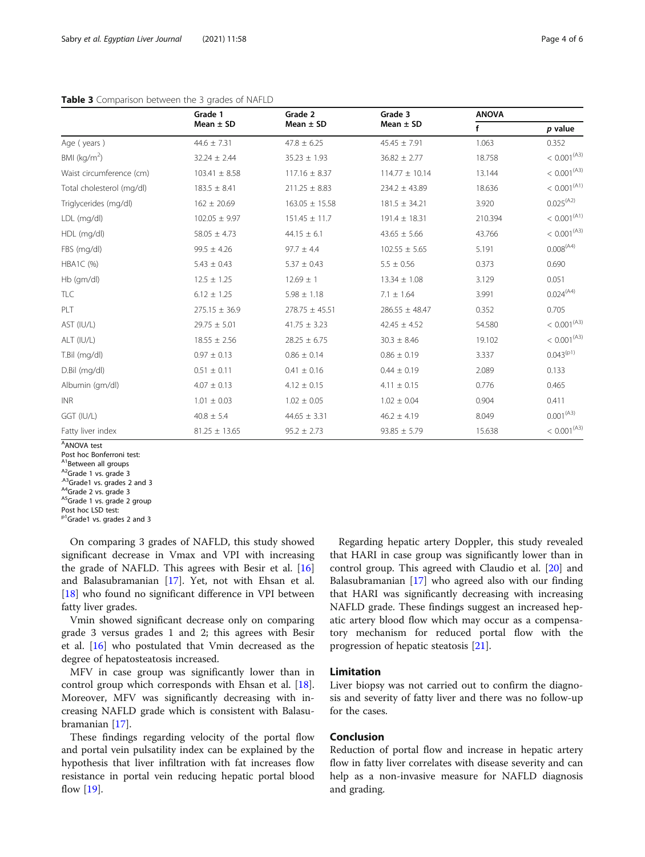|                           | Grade 1           | Grade 2            | Grade 3            | <b>ANOVA</b> |                         |
|---------------------------|-------------------|--------------------|--------------------|--------------|-------------------------|
|                           | Mean $\pm$ SD     | Mean $\pm$ SD      | Mean $\pm$ SD      | f            | p value                 |
| Age (years)               | $44.6 \pm 7.31$   | $47.8 \pm 6.25$    | $45.45 \pm 7.91$   | 1.063        | 0.352                   |
| BMI ( $kg/m2$ )           | $32.24 \pm 2.44$  | $35.23 \pm 1.93$   | $36.82 \pm 2.77$   | 18.758       | < 0.001 <sup>(A3)</sup> |
| Waist circumference (cm)  | $103.41 \pm 8.58$ | $117.16 \pm 8.37$  | $114.77 \pm 10.14$ | 13.144       | < 0.001 <sup>(A3)</sup> |
| Total cholesterol (mg/dl) | $183.5 \pm 8.41$  |                    | $234.2 \pm 43.89$  | 18.636       | < 0.001 <sup>(A1)</sup> |
| Triglycerides (mg/dl)     | $162 \pm 20.69$   | $163.05 \pm 15.58$ | $181.5 \pm 34.21$  | 3.920        | 0.025(42)               |
| LDL (mg/dl)               | $102.05 \pm 9.97$ | $151.45 \pm 11.7$  | $191.4 \pm 18.31$  | 210.394      | < 0.001 <sup>(A1)</sup> |
| HDL (mg/dl)               | $58.05 \pm 4.73$  | $44.15 \pm 6.1$    | $43.65 \pm 5.66$   | 43.766       | < 0.001 <sup>(A3)</sup> |
| FBS (mg/dl)               | $99.5 \pm 4.26$   | $97.7 \pm 4.4$     | $102.55 \pm 5.65$  | 5.191        | 0.008 <sup>(A4)</sup>   |
| <b>HBA1C (%)</b>          | $5.43 \pm 0.43$   | $5.37 \pm 0.43$    | $5.5 \pm 0.56$     | 0.373        | 0.690                   |
| Hb (gm/dl)                | $12.5 \pm 1.25$   | $12.69 \pm 1$      | $13.34 \pm 1.08$   | 3.129        | 0.051                   |
| TLC                       | $6.12 \pm 1.25$   | $5.98 \pm 1.18$    | $7.1 \pm 1.64$     | 3.991        | 0.024(44)               |
| PLT                       | $275.15 \pm 36.9$ | $278.75 \pm 45.51$ | $286.55 \pm 48.47$ | 0.352        | 0.705                   |
| AST (IU/L)                | $29.75 \pm 5.01$  | $41.75 \pm 3.23$   | $42.45 \pm 4.52$   | 54.580       | < 0.001 <sup>(A3)</sup> |
| ALT (IU/L)                | $18.55 \pm 2.56$  | $28.25 \pm 6.75$   | $30.3 \pm 8.46$    | 19.102       | < 0.001 <sup>(A3)</sup> |
| T.Bil (mg/dl)             | $0.97 \pm 0.13$   |                    | $0.86 \pm 0.19$    | 3.337        | $0.043^{(p1)}$          |
| D.Bil (mg/dl)             | $0.51 \pm 0.11$   | $0.41 \pm 0.16$    | $0.44 \pm 0.19$    | 2.089        | 0.133                   |
| Albumin (qm/dl)           | $4.07 \pm 0.13$   |                    | $4.11 \pm 0.15$    | 0.776        | 0.465                   |
| <b>INR</b>                | $1.01 \pm 0.03$   |                    | $1.02 \pm 0.04$    | 0.904        | 0.411                   |
| GGT (IU/L)                | $40.8 \pm 5.4$    |                    | $46.2 \pm 4.19$    | 8.049        | 0.001 <sup>(A3)</sup>   |
| Fatty liver index         | $81.25 \pm 13.65$ | $95.2 \pm 2.73$    | $93.85 \pm 5.79$   | 15.638       | < 0.001 <sup>(A3)</sup> |

## <span id="page-3-0"></span>Table 3 Comparison between the 3 grades of NAFLD

A ANOVA test

<sup>A1</sup>Between all groups<br>
<sup>A2</sup>Grade 1 vs. grade 3<br>
<sup>A3</sup>Grade1 vs. grades 2 and 3<br>
<sup>A4</sup>Grade 2 vs. grade 3<br>
<sup>A5</sup>Grade 1 vs. grade 2 group

On comparing 3 grades of NAFLD, this study showed significant decrease in Vmax and VPI with increasing the grade of NAFLD. This agrees with Besir et al. [[16](#page-5-0)] and Balasubramanian [\[17](#page-5-0)]. Yet, not with Ehsan et al. [[18\]](#page-5-0) who found no significant difference in VPI between fatty liver grades.

Vmin showed significant decrease only on comparing grade 3 versus grades 1 and 2; this agrees with Besir et al. [[16\]](#page-5-0) who postulated that Vmin decreased as the degree of hepatosteatosis increased.

MFV in case group was significantly lower than in control group which corresponds with Ehsan et al. [\[18](#page-5-0)]. Moreover, MFV was significantly decreasing with increasing NAFLD grade which is consistent with Balasubramanian [\[17](#page-5-0)].

These findings regarding velocity of the portal flow and portal vein pulsatility index can be explained by the hypothesis that liver infiltration with fat increases flow resistance in portal vein reducing hepatic portal blood flow [\[19](#page-5-0)].

Regarding hepatic artery Doppler, this study revealed that HARI in case group was significantly lower than in control group. This agreed with Claudio et al. [[20](#page-5-0)] and Balasubramanian [[17](#page-5-0)] who agreed also with our finding that HARI was significantly decreasing with increasing NAFLD grade. These findings suggest an increased hepatic artery blood flow which may occur as a compensatory mechanism for reduced portal flow with the progression of hepatic steatosis [[21](#page-5-0)].

## Limitation

Liver biopsy was not carried out to confirm the diagnosis and severity of fatty liver and there was no follow-up for the cases.

## Conclusion

Reduction of portal flow and increase in hepatic artery flow in fatty liver correlates with disease severity and can help as a non-invasive measure for NAFLD diagnosis and grading.

Post hoc Bonferroni test:

Post hoc LSD test:

<sup>&</sup>lt;sup>p1</sup>Grade1 vs. grades 2 and 3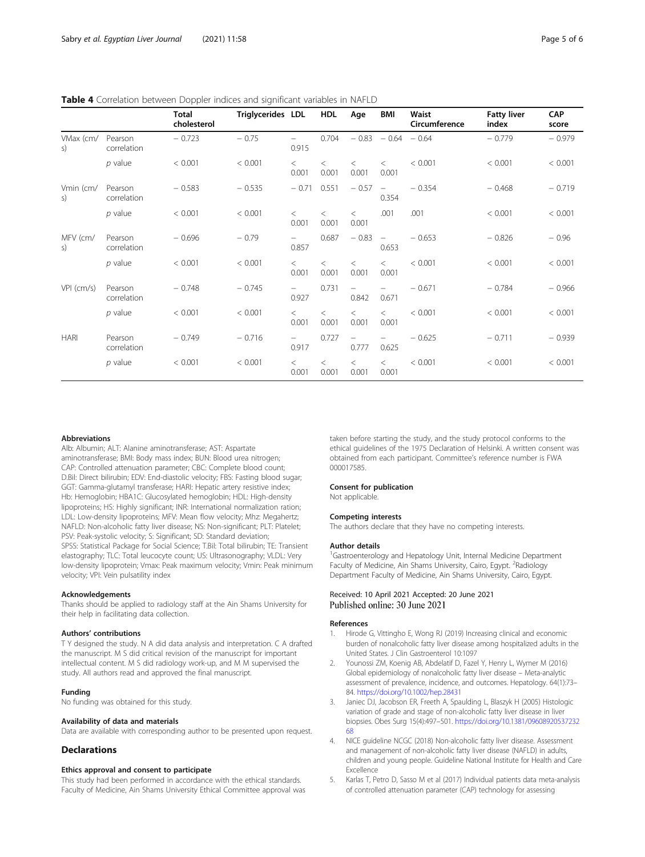<span id="page-4-0"></span>

| Table 4 Correlation between Doppler indices and significant variables in NAFLD |  |  |  |
|--------------------------------------------------------------------------------|--|--|--|
|--------------------------------------------------------------------------------|--|--|--|

|                            |                        | Total<br>cholesterol | Triglycerides LDL |                                   | <b>HDL</b>       | Age                               | BMI                               | Waist<br>Circumference | <b>Fatty liver</b><br>index | <b>CAP</b><br>score |
|----------------------------|------------------------|----------------------|-------------------|-----------------------------------|------------------|-----------------------------------|-----------------------------------|------------------------|-----------------------------|---------------------|
| VMax (cm/<br>$\mathsf{S}$  | Pearson<br>correlation | $-0.723$             | $-0.75$           | $\overline{\phantom{0}}$<br>0.915 | 0.704            |                                   | $-0.83 - 0.64 - 0.64$             |                        | $-0.779$                    | $-0.979$            |
|                            | $p$ value              | < 0.001              | < 0.001           | $\lt$<br>0.001                    | $\,<\,$<br>0.001 | $\,<\,$<br>0.001                  | $\lt$<br>0.001                    | < 0.001                | < 0.001                     | < 0.001             |
| Vmin (cm/<br>S)            | Pearson<br>correlation | $-0.583$             | $-0.535$          | $-0.71$                           | 0.551            | $-0.57$                           | $\overline{\phantom{m}}$<br>0.354 | $-0.354$               | $-0.468$                    | $-0.719$            |
|                            | $p$ value              | < 0.001              | < 0.001           | $\lt$<br>0.001                    | $\,<\,$<br>0.001 | $\overline{\phantom{a}}$<br>0.001 | .001                              | .001                   | < 0.001                     | < 0.001             |
| MFV (cm/<br>$\mathsf{S}$ ) | Pearson<br>correlation | $-0.696$             | $-0.79$           | $\qquad \qquad -$<br>0.857        | 0.687            | $-0.83$                           | $\overline{\phantom{a}}$<br>0.653 | $-0.653$               | $-0.826$                    | $-0.96$             |
|                            | $p$ value              | < 0.001              | < 0.001           | $\lt$<br>0.001                    | $\,<\,$<br>0.001 | $\lt$<br>0.001                    | $\lt$<br>0.001                    | < 0.001                | < 0.001                     | < 0.001             |
| $VPI$ (cm/s)               | Pearson<br>correlation | $-0.748$             | $-0.745$          | $\overline{\phantom{0}}$<br>0.927 | 0.731            | $\overline{\phantom{0}}$<br>0.842 | 0.671                             | $-0.671$               | $-0.784$                    | $-0.966$            |
|                            | $p$ value              | < 0.001              | < 0.001           | $\lt$<br>0.001                    | $\,<\,$<br>0.001 | $\lt$<br>0.001                    | $\lt$<br>0.001                    | < 0.001                | < 0.001                     | < 0.001             |
| <b>HARI</b>                | Pearson<br>correlation | $-0.749$             | $-0.716$          | $\overline{\phantom{0}}$<br>0.917 | 0.727            | $\overline{\phantom{m}}$<br>0.777 | $\overline{\phantom{0}}$<br>0.625 | $-0.625$               | $-0.711$                    | $-0.939$            |
|                            | $p$ value              | < 0.001              | < 0.001           | $\lt$<br>0.001                    | $\,<\,$<br>0.001 | $\lt$<br>0.001                    | $\,<\,$<br>0.001                  | < 0.001                | < 0.001                     | < 0.001             |

#### **Abbreviations**

Alb: Albumin; ALT: Alanine aminotransferase; AST: Aspartate aminotransferase; BMI: Body mass index; BUN: Blood urea nitrogen; CAP: Controlled attenuation parameter; CBC: Complete blood count; D.Bil: Direct bilirubin; EDV: End-diastolic velocity; FBS: Fasting blood sugar; GGT: Gamma-glutamyl transferase; HARI: Hepatic artery resistive index; Hb: Hemoglobin; HBA1C: Glucosylated hemoglobin; HDL: High-density lipoproteins; HS: Highly significant; INR: International normalization ration; LDL: Low-density lipoproteins; MFV: Mean flow velocity; Mhz: Megahertz; NAFLD: Non-alcoholic fatty liver disease; NS: Non-significant; PLT: Platelet; PSV: Peak-systolic velocity; S: Significant; SD: Standard deviation; SPSS: Statistical Package for Social Science; T.Bil: Total bilirubin; TE: Transient elastography; TLC: Total leucocyte count; US: Ultrasonography; VLDL: Very low-density lipoprotein; Vmax: Peak maximum velocity; Vmin: Peak minimum velocity; VPI: Vein pulsatility index

#### Acknowledgements

Thanks should be applied to radiology staff at the Ain Shams University for their help in facilitating data collection.

#### Authors' contributions

T Y designed the study. N A did data analysis and interpretation. C A drafted the manuscript. M S did critical revision of the manuscript for important intellectual content. M S did radiology work-up, and M M supervised the study. All authors read and approved the final manuscript.

## Funding

No funding was obtained for this study.

#### Availability of data and materials

Data are available with corresponding author to be presented upon request.

#### Declarations

#### Ethics approval and consent to participate

This study had been performed in accordance with the ethical standards. Faculty of Medicine, Ain Shams University Ethical Committee approval was taken before starting the study, and the study protocol conforms to the ethical guidelines of the 1975 Declaration of Helsinki. A written consent was obtained from each participant. Committee's reference number is FWA 000017585.

#### Consent for publication

#### Not applicable.

#### Competing interests

The authors declare that they have no competing interests.

#### Author details

<sup>1</sup>Gastroenterology and Hepatology Unit, Internal Medicine Department Faculty of Medicine, Ain Shams University, Cairo, Egypt. <sup>2</sup>Radiology Department Faculty of Medicine, Ain Shams University, Cairo, Egypt.

## Received: 10 April 2021 Accepted: 20 June 2021 Published online: 30 June 2021

#### References

- Hirode G, Vittingho E, Wong RJ (2019) Increasing clinical and economic burden of nonalcoholic fatty liver disease among hospitalized adults in the United States. J Clin Gastroenterol 10:1097
- 2. Younossi ZM, Koenig AB, Abdelatif D, Fazel Y, Henry L, Wymer M (2016) Global epidemiology of nonalcoholic fatty liver disease – Meta-analytic assessment of prevalence, incidence, and outcomes. Hepatology. 64(1):73– 84. <https://doi.org/10.1002/hep.28431>
- 3. Janiec DJ, Jacobson ER, Freeth A, Spaulding L, Blaszyk H (2005) Histologic variation of grade and stage of non-alcoholic fatty liver disease in liver biopsies. Obes Surg 15(4):497–501. [https://doi.org/10.1381/09608920537232](https://doi.org/10.1381/0960892053723268) [68](https://doi.org/10.1381/0960892053723268)
- 4. NICE guideline NCGC (2018) Non-alcoholic fatty liver disease. Assessment and management of non-alcoholic fatty liver disease (NAFLD) in adults, children and young people. Guideline National Institute for Health and Care Excellence
- 5. Karlas T, Petro D, Sasso M et al (2017) Individual patients data meta-analysis of controlled attenuation parameter (CAP) technology for assessing